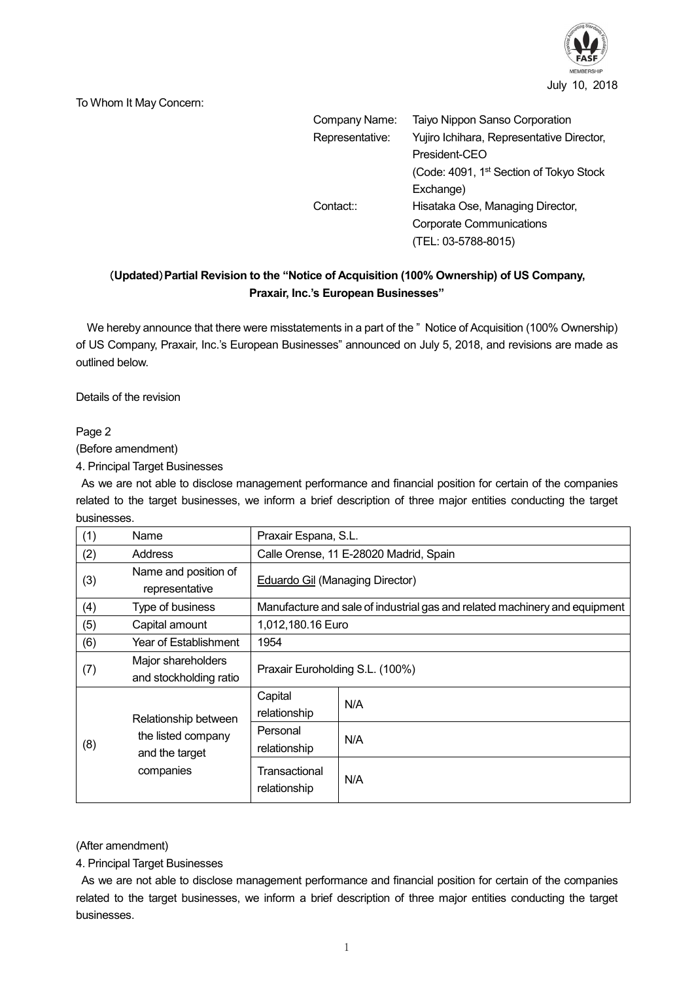

To Whom It May Concern:

| Company Name:   | Taiyo Nippon Sanso Corporation                      |  |
|-----------------|-----------------------------------------------------|--|
|                 |                                                     |  |
| Representative: | Yujiro Ichihara, Representative Director,           |  |
|                 | President-CEO                                       |  |
|                 | (Code: 4091, 1 <sup>st</sup> Section of Tokyo Stock |  |
|                 | Exchange)                                           |  |
| Contact::       | Hisataka Ose, Managing Director,                    |  |
|                 | <b>Corporate Communications</b>                     |  |
|                 | (TEL: 03-5788-8015)                                 |  |

## (**Updated**)**Partial Revision to the "Notice of Acquisition (100% Ownership) of US Company, Praxair, Inc.'s European Businesses"**

We hereby announce that there were misstatements in a part of the "Notice of Acquisition (100% Ownership) of US Company, Praxair, Inc.'s European Businesses" announced on July 5, 2018, and revisions are made as outlined below.

Details of the revision

Page 2

(Before amendment)

4. Principal Target Businesses

As we are not able to disclose management performance and financial position for certain of the companies related to the target businesses, we inform a brief description of three major entities conducting the target businesses.

| (1) | Name                                                                      | Praxair Espana, S.L.                                                       |     |  |
|-----|---------------------------------------------------------------------------|----------------------------------------------------------------------------|-----|--|
| (2) | Address                                                                   | Calle Orense, 11 E-28020 Madrid, Spain                                     |     |  |
| (3) | Name and position of<br>representative                                    | Eduardo Gil (Managing Director)                                            |     |  |
| (4) | Type of business                                                          | Manufacture and sale of industrial gas and related machinery and equipment |     |  |
| (5) | Capital amount                                                            | 1,012,180.16 Euro                                                          |     |  |
| (6) | Year of Establishment                                                     | 1954                                                                       |     |  |
| (7) | Major shareholders<br>and stockholding ratio                              | Praxair Euroholding S.L. (100%)                                            |     |  |
| (8) | Relationship between<br>the listed company<br>and the target<br>companies | Capital<br>relationship                                                    | N/A |  |
|     |                                                                           | Personal<br>relationship                                                   | N/A |  |
|     |                                                                           | Transactional<br>relationship                                              | N/A |  |

(After amendment)

4. Principal Target Businesses

As we are not able to disclose management performance and financial position for certain of the companies related to the target businesses, we inform a brief description of three major entities conducting the target businesses.